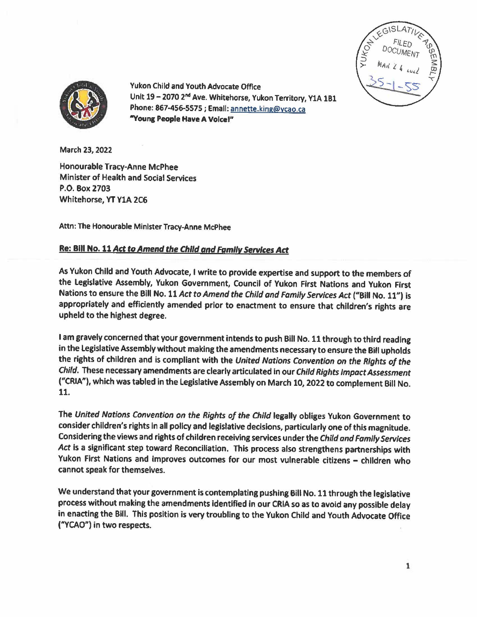



Yukon Child and Youth Advocate Office Unit 19 - 2070 2<sup>nd</sup> Ave. Whitehorse, Yukon Territory, Y1A 1B1 Phone: 867-456-5575; Email: annette.king@ycao.ca **"Young People Have A** Vofcel"

March 23, 2022

Honourable Tracy-Anne McPhee Minister of Health and Social Services P.O. Box 2703 Whitehorse, YT YlA 2C6

Attn: The Honourable Minister Tracy-Anne McPhee

## **Re: BIii** No. 11 Act to Amend the Child *and* Family Services Act

As Yukon Child and Youth Advocate, I write to provide expertise and support to the members of the Legislative Assembly, Yukon Government, Council of Yukon First Nations and Yukon First Nations to ensure the Bill No. 11 Act to Amend the Child and Family Services Act ("Bill No. 11") is appropriately and efficiently amended prior to enactment to ensure that children's rights are upheld to the highest degree.

I am gravely concerned that your government intends to push Bill No. 11 through to third reading in the legislative Assembly without making the amendments necessary to ensure the Bill upholds the rights of children and is compliant with the United Nations Convention on the Rights *of* the *Child.* These necessary amendments are clearly articulated in our Child *Rights* Impact Assessment ("CRIA"), which was tabled in the Legislative Assembly on March 10, 2022 to complement Bill No. 11.

The United Nations Convention on *the* Rights *of* the *Child* legally obliges Yukon Government to consider children's rights in all policy and legislative decisions, particularly one of this magnitude. Considering the views and rights of children receiving services under the Child and Family Services *Act* is a significant step toward Reconciliation. This process also strengthens partnerships with Yukon First Nations and improves outcomes for our most vulnerable citizens - children who cannot speak for themselves.

We understand that your government is contemplating pushing Bill No.11 through the legislative process without making the amendments identified in our CRIA so as to avoid any possible delay in enacting the Bill. This position is very troubling to the Yukon Child and Youth Advocate Office ("YCAO") in two respects.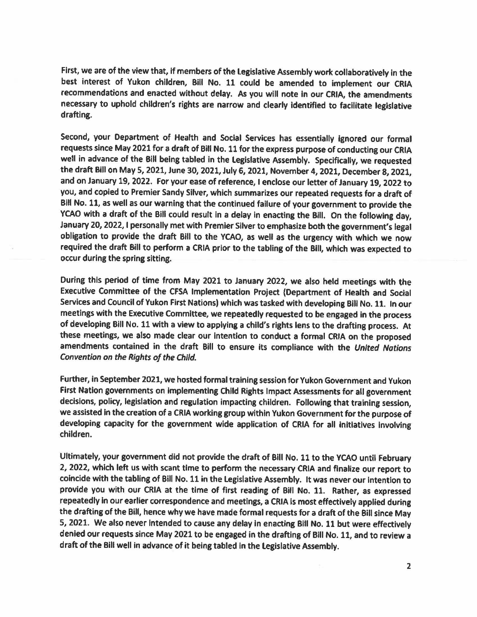First, we are of the view that, if members of the Legislative Assembly work collaboratively in the best interest of Yukon children, Bill No. 11 could be amended to implement our CRIA recommendations and enacted without delay. As you will note In our CRIA, the amendments necessary to uphold children's rights are narrow and clearly identified to facilitate legislative drafting.

Second, your Department of Health and Social Services has essentially ignored our formal requests since May 2021 for a draft of Bill No. 11 for the express purpose of conducting our CRIA well in advance of the Bill being tabled in the Legislative Assembly. Specifically, we requested the draft Bill on May 5, 2021, June 30, 2021, July 6, 2021, November 4, 2021, December 8, 2021, and on January 19, 2022. For your ease of reference, I enclose our letter of January 19, 2022 to you, and copied to Premier Sandy Silver, which summarizes our repeated requests for a draft of BIii No. 11, as well as our warning that the continued failure of your government *to* provide the YCAO with a draft of the Bill could result in a delay in enacting the Bill. On the following day, January 20, 2022, I personally met with Premier Silver to emphasize both the government's legal obligation to provide the draft Bill to the YCAO, as well as the urgency with which we now required the draft Bill to perform a CRIA prior to the tabling of the BIii, which was expected to occur during the spring sitting.

During this period of time from May 2021 to January 2022, we also held meetings with the Executive Committee of the CFSA Implementation Project (Department of Health and Social Services and Council of Yukon First Nations) which was tasked with developing Bill No. 11. In our meetings with the Executive Committee, we repeatedly requested to be engaged in the process of developing Bill No. 11 with a view to applying a child's rights lens to the drafting process. At these meetings, we also made clear our Intention to conduct a formal CRIA on the proposed amendments contained in the draft Bill to ensure its compliance with the United Nations Convention on the Rights of the Child.

Further, in September 2021, we hosted formal training session for Yukon Government and Yukon First Nation governments on implementing Child Rights Impact Assessments for all government decisions, policy, legislation and regulation impacting children. Following that training session, we assisted in the creation of a CRIA working group within Yukon Government for the purpose of developing capacity for the government **wide** application of CRIA for all initiatives Involving children.

Ultimately, your government did not provide the draft of Bill No. 11 to the YCAO until **February**  2, 2022, which left us with scant time to perform the necessary CRIA and finalize our report to coincide with the tabling of Bill No. 11 in the Legislative Assembly. It was never our intention to provide you with our CRIA at the time of first reading of Bill No. 11. Rather, as expressed repeatedly in our earlier correspondence and meetings, a CRIA is most effectively applied during the drafting of the Bill, hence why we have made formal requests for a draft of the Bill since May 5, 2021. We also never intended to cause any delay in enacting Bill No. 11 but were effectively denied our requests since May 2021 to be engaged in the drafting of Bill No. 11, and to review a draft of the Bill well in advance of it being tabled in the legislative Assembly.